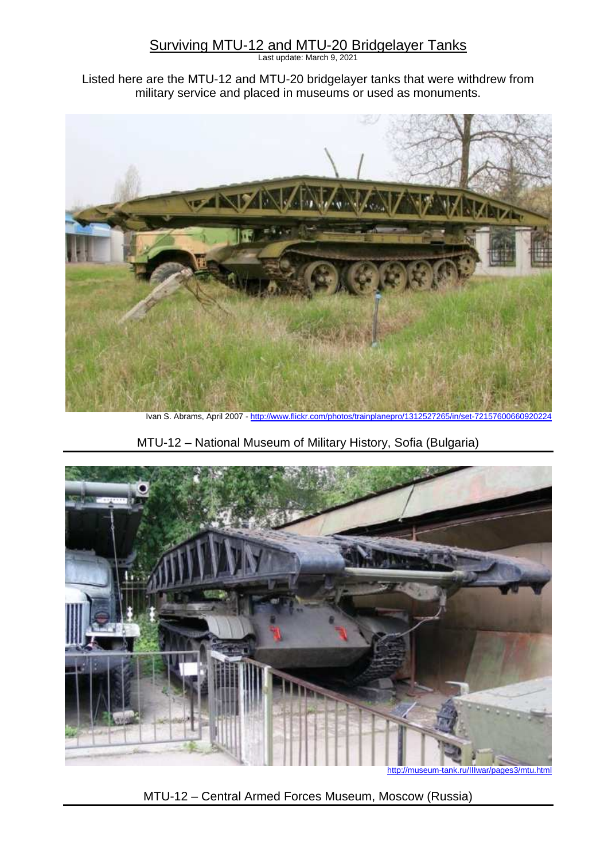## Surviving MTU-12 and MTU-20 Bridgelayer Tanks

Last update: March 9, 2021

Listed here are the MTU-12 and MTU-20 bridgelayer tanks that were withdrew from military service and placed in museums or used as monuments.



MTU-12 – National Museum of Military History, Sofia (Bulgaria)



http://museum-tank.ru/IIIwar/pages3/mtu.html

MTU-12 – Central Armed Forces Museum, Moscow (Russia)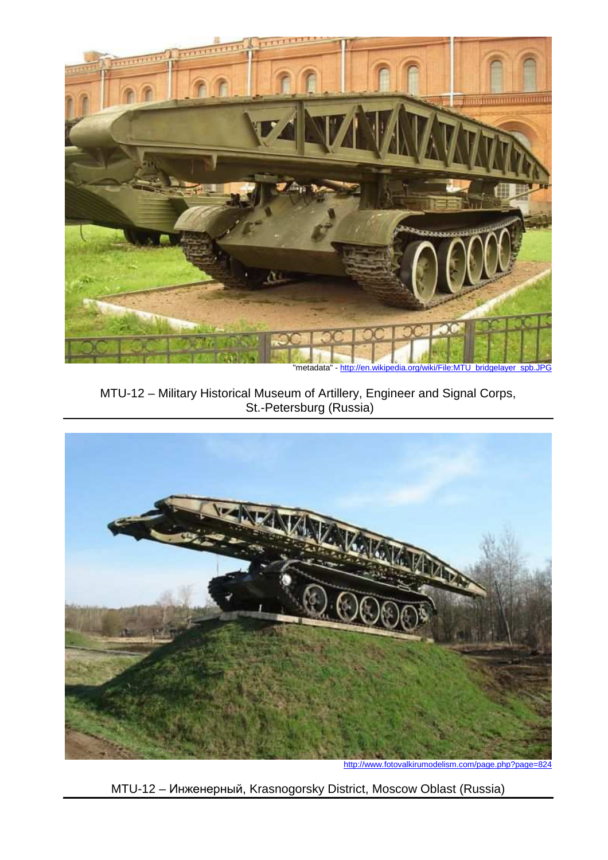

MTU-12 – Military Historical Museum of Artillery, Engineer and Signal Corps, St.-Petersburg (Russia)



MTU-12 – Инженерный, Krasnogorsky District, Moscow Oblast (Russia)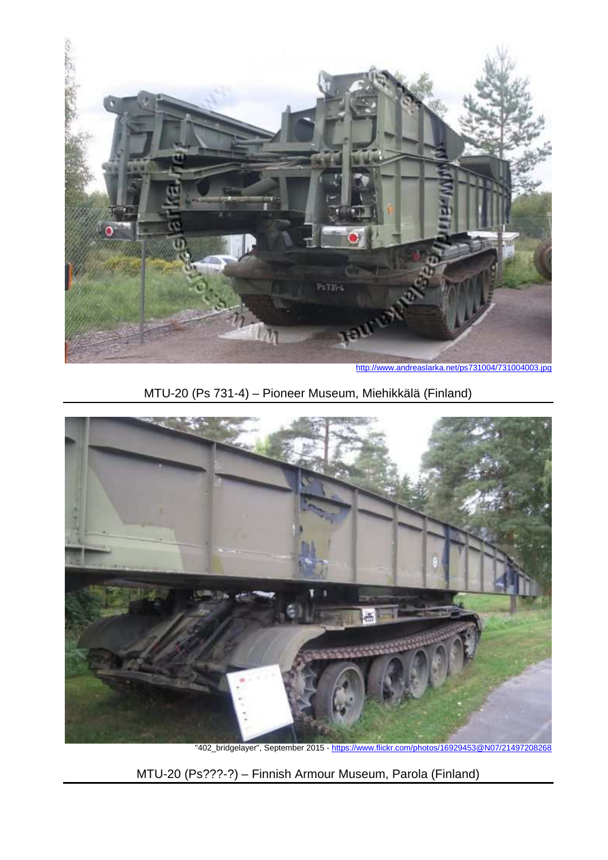

### MTU-20 (Ps 731-4) – Pioneer Museum, Miehikkälä (Finland)



"402\_bridgelayer", September 2015 - https://www.flickr.com/photos/16929453@N07/21497208268

MTU-20 (Ps???-?) – Finnish Armour Museum, Parola (Finland)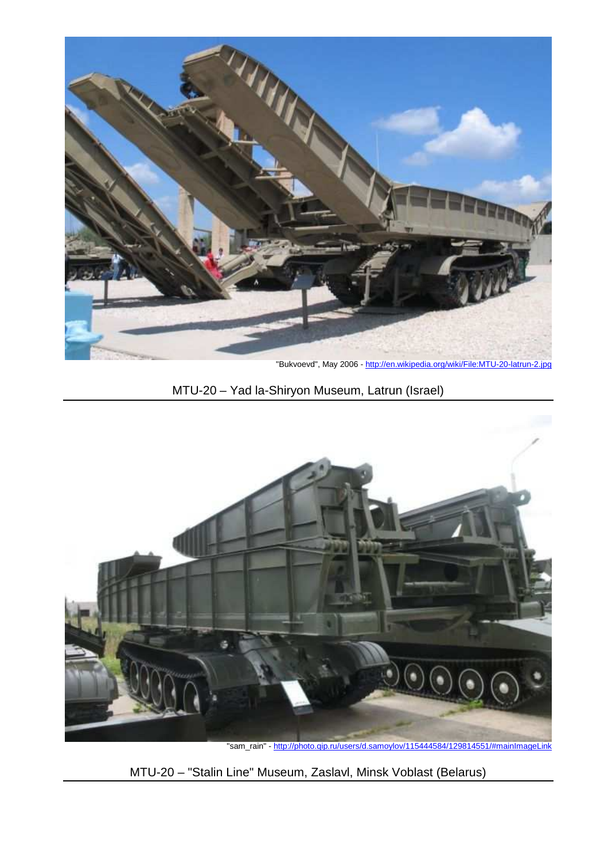

"Bukvoevd", May 2006 - http://en.wikipedia.org/wiki/File:MTU-20-latrun-2.jpg

# MTU-20 – Yad la-Shiryon Museum, Latrun (Israel)



"sam\_rain" - http://photo.qip.ru/users/d.samoylov/115444584/129814551/#mainImageLink

MTU-20 – "Stalin Line" Museum, Zaslavl, Minsk Voblast (Belarus)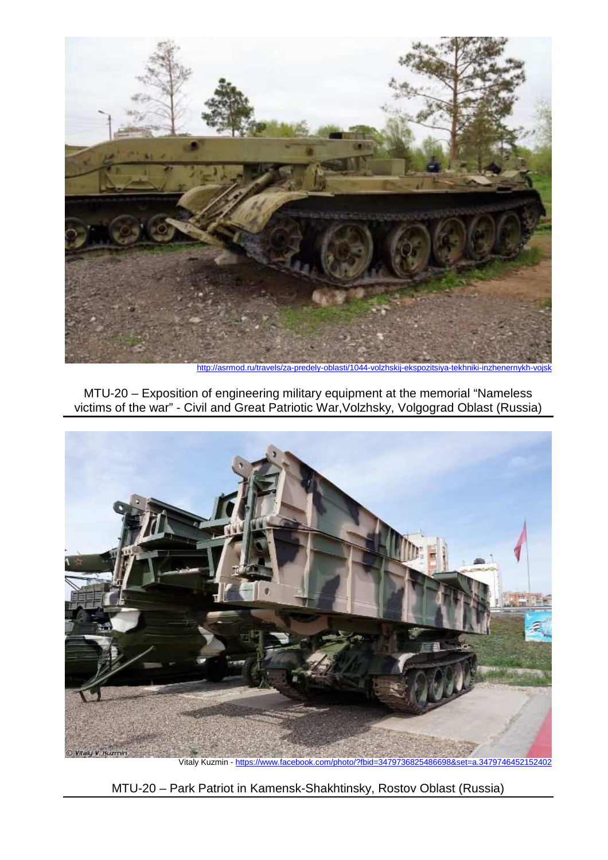

http://asrmod.ru/travels/za-predely-oblasti/1044-volzhskij-ekspozitsiya-tekhniki-inzhenernykh-

MTU-20 – Exposition of engineering military equipment at the memorial "Nameless victims of the war" - Civil and Great Patriotic War,Volzhsky, Volgograd Oblast (Russia)



MTU-20 – Park Patriot in Kamensk-Shakhtinsky, Rostov Oblast (Russia)